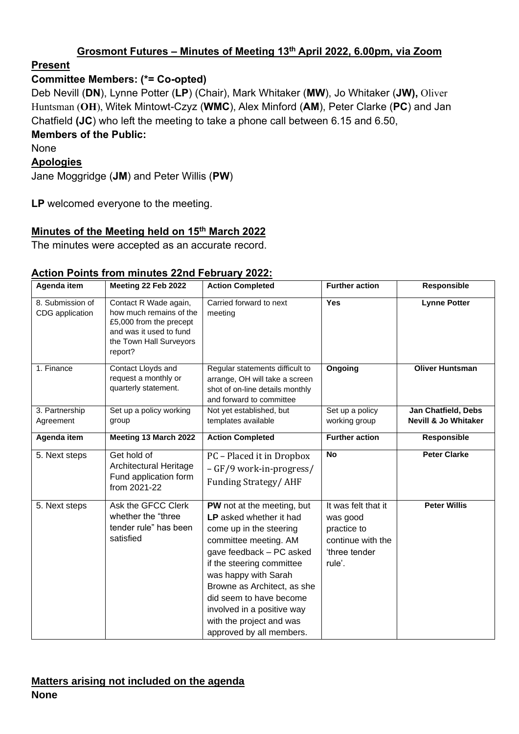### **Grosmont Futures – Minutes of Meeting 13th April 2022, 6.00pm, via Zoom**

#### **Present**

### **Committee Members: (\*= Co-opted)**

Deb Nevill (**DN**), Lynne Potter (**LP**) (Chair), Mark Whitaker (**MW**), Jo Whitaker (**JW),** Oliver Huntsman (**OH**), Witek Mintowt-Czyz (**WMC**), Alex Minford (**AM**), Peter Clarke (**PC**) and Jan Chatfield **(JC**) who left the meeting to take a phone call between 6.15 and 6.50,

## **Members of the Public:**

None

#### **Apologies**

Jane Moggridge (**JM**) and Peter Willis (**PW**)

**LP** welcomed everyone to the meeting.

# **Minutes of the Meeting held on 15th March 2022**

The minutes were accepted as an accurate record.

| Agenda item                         | Meeting 22 Feb 2022                                                                                                                          | <b>Action Completed</b>                                                                                                                                                                                                                                                                                                                    | <b>Further action</b>                                                                         | Responsible                                            |
|-------------------------------------|----------------------------------------------------------------------------------------------------------------------------------------------|--------------------------------------------------------------------------------------------------------------------------------------------------------------------------------------------------------------------------------------------------------------------------------------------------------------------------------------------|-----------------------------------------------------------------------------------------------|--------------------------------------------------------|
| 8. Submission of<br>CDG application | Contact R Wade again,<br>how much remains of the<br>£5,000 from the precept<br>and was it used to fund<br>the Town Hall Surveyors<br>report? | Carried forward to next<br>meeting                                                                                                                                                                                                                                                                                                         | Yes                                                                                           | <b>Lynne Potter</b>                                    |
| 1. Finance                          | Contact Lloyds and<br>request a monthly or<br>quarterly statement.                                                                           | Regular statements difficult to<br>arrange, OH will take a screen<br>shot of on-line details monthly<br>and forward to committee                                                                                                                                                                                                           | Ongoing                                                                                       | <b>Oliver Huntsman</b>                                 |
| 3. Partnership<br>Agreement         | Set up a policy working<br>group                                                                                                             | Not yet established, but<br>templates available                                                                                                                                                                                                                                                                                            | Set up a policy<br>working group                                                              | Jan Chatfield, Debs<br><b>Nevill &amp; Jo Whitaker</b> |
| Agenda item                         | Meeting 13 March 2022                                                                                                                        | <b>Action Completed</b>                                                                                                                                                                                                                                                                                                                    | <b>Further action</b>                                                                         | Responsible                                            |
| 5. Next steps                       | Get hold of<br>Architectural Heritage<br>Fund application form<br>from 2021-22                                                               | PC - Placed it in Dropbox<br>- GF/9 work-in-progress/<br><b>Funding Strategy/AHF</b>                                                                                                                                                                                                                                                       | <b>No</b>                                                                                     | <b>Peter Clarke</b>                                    |
| 5. Next steps                       | Ask the GFCC Clerk<br>whether the "three"<br>tender rule" has been<br>satisfied                                                              | PW not at the meeting, but<br>LP asked whether it had<br>come up in the steering<br>committee meeting. AM<br>gave feedback - PC asked<br>if the steering committee<br>was happy with Sarah<br>Browne as Architect, as she<br>did seem to have become<br>involved in a positive way<br>with the project and was<br>approved by all members. | It was felt that it<br>was good<br>practice to<br>continue with the<br>three tender<br>rule'. | <b>Peter Willis</b>                                    |

#### **Action Points from minutes 22nd February 2022:**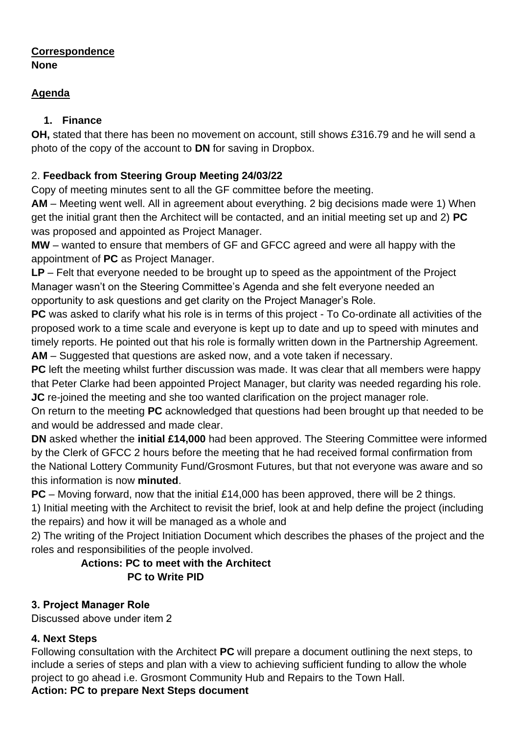#### **Correspondence None**

## **Agenda**

## **1. Finance**

**OH,** stated that there has been no movement on account, still shows £316.79 and he will send a photo of the copy of the account to **DN** for saving in Dropbox.

# 2. **Feedback from Steering Group Meeting 24/03/22**

Copy of meeting minutes sent to all the GF committee before the meeting.

**AM** – Meeting went well. All in agreement about everything. 2 big decisions made were 1) When get the initial grant then the Architect will be contacted, and an initial meeting set up and 2) **PC** was proposed and appointed as Project Manager.

**MW** – wanted to ensure that members of GF and GFCC agreed and were all happy with the appointment of **PC** as Project Manager.

**LP** – Felt that everyone needed to be brought up to speed as the appointment of the Project Manager wasn't on the Steering Committee's Agenda and she felt everyone needed an opportunity to ask questions and get clarity on the Project Manager's Role.

**PC** was asked to clarify what his role is in terms of this project - To Co-ordinate all activities of the proposed work to a time scale and everyone is kept up to date and up to speed with minutes and timely reports. He pointed out that his role is formally written down in the Partnership Agreement. **AM** – Suggested that questions are asked now, and a vote taken if necessary.

**PC** left the meeting whilst further discussion was made. It was clear that all members were happy that Peter Clarke had been appointed Project Manager, but clarity was needed regarding his role. **JC** re-joined the meeting and she too wanted clarification on the project manager role.

On return to the meeting **PC** acknowledged that questions had been brought up that needed to be and would be addressed and made clear.

**DN** asked whether the **initial £14,000** had been approved. The Steering Committee were informed by the Clerk of GFCC 2 hours before the meeting that he had received formal confirmation from the National Lottery Community Fund/Grosmont Futures, but that not everyone was aware and so this information is now **minuted**.

**PC** – Moving forward, now that the initial £14,000 has been approved, there will be 2 things.

1) Initial meeting with the Architect to revisit the brief, look at and help define the project (including the repairs) and how it will be managed as a whole and

2) The writing of the Project Initiation Document which describes the phases of the project and the roles and responsibilities of the people involved.

# **Actions: PC to meet with the Architect PC to Write PID**

# **3. Project Manager Role**

Discussed above under item 2

# **4. Next Steps**

Following consultation with the Architect **PC** will prepare a document outlining the next steps, to include a series of steps and plan with a view to achieving sufficient funding to allow the whole project to go ahead i.e. Grosmont Community Hub and Repairs to the Town Hall.

# **Action: PC to prepare Next Steps document**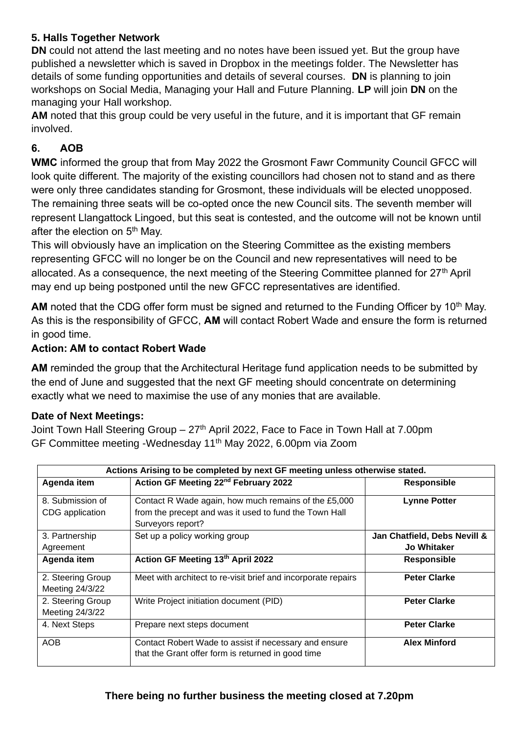#### **5. Halls Together Network**

**DN** could not attend the last meeting and no notes have been issued yet. But the group have published a newsletter which is saved in Dropbox in the meetings folder. The Newsletter has details of some funding opportunities and details of several courses. **DN** is planning to join workshops on Social Media, Managing your Hall and Future Planning. **LP** will join **DN** on the managing your Hall workshop.

**AM** noted that this group could be very useful in the future, and it is important that GF remain involved.

## **6. AOB**

**WMC** informed the group that from May 2022 the Grosmont Fawr Community Council GFCC will look quite different. The majority of the existing councillors had chosen not to stand and as there were only three candidates standing for Grosmont, these individuals will be elected unopposed. The remaining three seats will be co-opted once the new Council sits. The seventh member will represent Llangattock Lingoed, but this seat is contested, and the outcome will not be known until after the election on 5<sup>th</sup> May.

This will obviously have an implication on the Steering Committee as the existing members representing GFCC will no longer be on the Council and new representatives will need to be allocated. As a consequence, the next meeting of the Steering Committee planned for 27<sup>th</sup> April may end up being postponed until the new GFCC representatives are identified.

AM noted that the CDG offer form must be signed and returned to the Funding Officer by 10<sup>th</sup> May. As this is the responsibility of GFCC, **AM** will contact Robert Wade and ensure the form is returned in good time.

#### **Action: AM to contact Robert Wade**

**AM** reminded the group that the Architectural Heritage fund application needs to be submitted by the end of June and suggested that the next GF meeting should concentrate on determining exactly what we need to maximise the use of any monies that are available.

#### **Date of Next Meetings:**

Joint Town Hall Steering Group - 27<sup>th</sup> April 2022, Face to Face in Town Hall at 7.00pm GF Committee meeting -Wednesday 11th May 2022, 6.00pm via Zoom

| Actions Arising to be completed by next GF meeting unless otherwise stated. |                                                               |                              |  |  |
|-----------------------------------------------------------------------------|---------------------------------------------------------------|------------------------------|--|--|
| Agenda item                                                                 | Action GF Meeting 22 <sup>nd</sup> February 2022              | <b>Responsible</b>           |  |  |
| 8. Submission of                                                            | Contact R Wade again, how much remains of the £5,000          | <b>Lynne Potter</b>          |  |  |
| CDG application                                                             | from the precept and was it used to fund the Town Hall        |                              |  |  |
|                                                                             | Surveyors report?                                             |                              |  |  |
| 3. Partnership                                                              | Set up a policy working group                                 | Jan Chatfield, Debs Nevill & |  |  |
| Agreement                                                                   |                                                               | <b>Jo Whitaker</b>           |  |  |
| Agenda item                                                                 | Action GF Meeting 13th April 2022                             | <b>Responsible</b>           |  |  |
| 2. Steering Group                                                           | Meet with architect to re-visit brief and incorporate repairs | <b>Peter Clarke</b>          |  |  |
| Meeting 24/3/22                                                             |                                                               |                              |  |  |
| 2. Steering Group                                                           | Write Project initiation document (PID)                       | <b>Peter Clarke</b>          |  |  |
| Meeting 24/3/22                                                             |                                                               |                              |  |  |
| 4. Next Steps                                                               | Prepare next steps document                                   | <b>Peter Clarke</b>          |  |  |
| <b>AOB</b>                                                                  | Contact Robert Wade to assist if necessary and ensure         | <b>Alex Minford</b>          |  |  |
|                                                                             | that the Grant offer form is returned in good time            |                              |  |  |